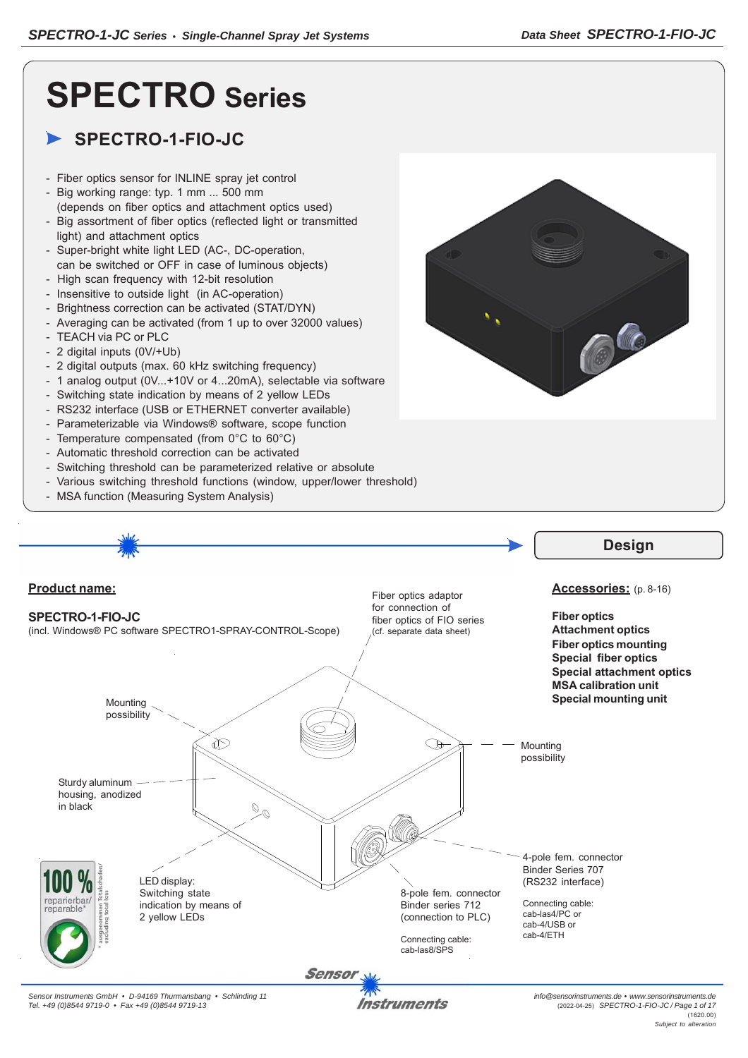# **SPECTRO Series**

# **SPECTRO-1-FIO-JC**

- Fiber optics sensor for INLINE spray jet control
- Big working range: typ. 1 mm ... 500 mm (depends on fiber optics and attachment optics used)
- Big assortment of fiber optics (reflected light or transmitted light) and attachment optics
- Super-bright white light LED (AC-, DC-operation, can be switched or OFF in case of luminous objects)
- High scan frequency with 12-bit resolution
- Insensitive to outside light (in AC-operation)
- Brightness correction can be activated (STAT/DYN)
- Averaging can be activated (from 1 up to over 32000 values)
- TEACH via PC or PLC
- 2 digital inputs (0V/+Ub)
- 2 digital outputs (max. 60 kHz switching frequency)
- 1 analog output (0V...+10V or 4...20mA), selectable via software
- Switching state indication by means of 2 yellow LEDs
- RS232 interface (USB or ETHERNET converter available)
- Parameterizable via Windows® software, scope function
- Temperature compensated (from 0°C to 60°C)
- Automatic threshold correction can be activated
- Switching threshold can be parameterized relative or absolute
- Various switching threshold functions (window, upper/lower threshold)
- MSA function (Measuring System Analysis)

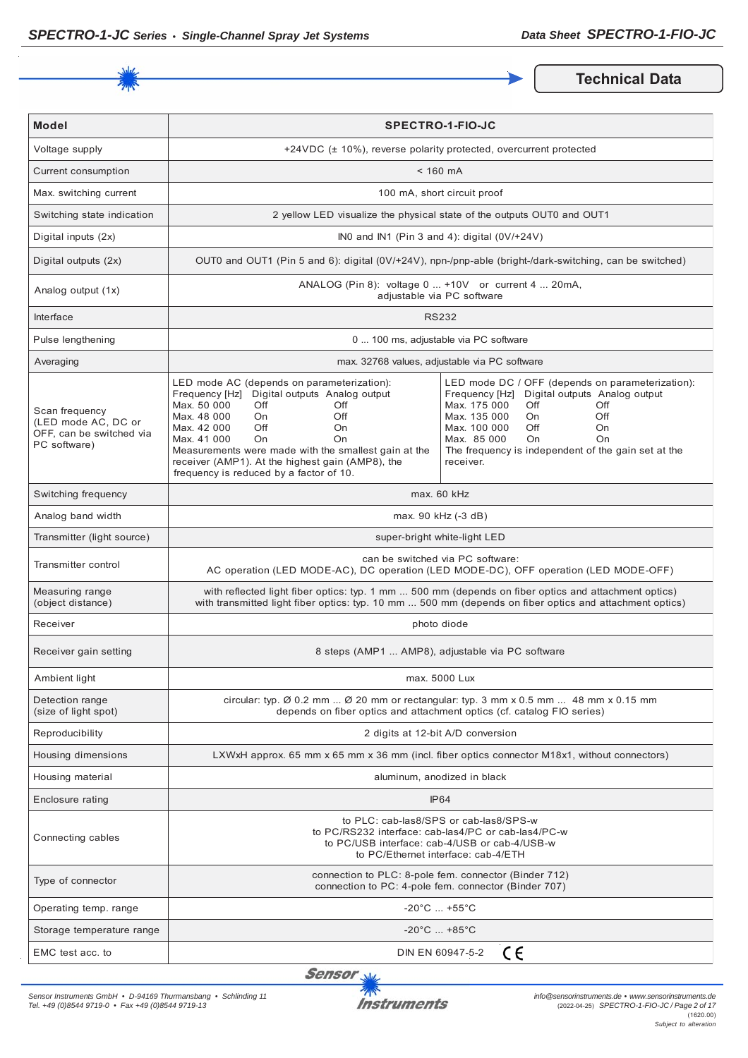

**Technical Data** 

| <b>Model</b>                                                                      | <b>SPECTRO-1-FIO-JC</b>                                                                                                                                                                                                                                                                                                                                           |                                                                                                                                                                                                                                                                                                           |  |
|-----------------------------------------------------------------------------------|-------------------------------------------------------------------------------------------------------------------------------------------------------------------------------------------------------------------------------------------------------------------------------------------------------------------------------------------------------------------|-----------------------------------------------------------------------------------------------------------------------------------------------------------------------------------------------------------------------------------------------------------------------------------------------------------|--|
| Voltage supply                                                                    |                                                                                                                                                                                                                                                                                                                                                                   | +24VDC (± 10%), reverse polarity protected, overcurrent protected                                                                                                                                                                                                                                         |  |
| Current consumption                                                               | $< 160$ mA                                                                                                                                                                                                                                                                                                                                                        |                                                                                                                                                                                                                                                                                                           |  |
| Max. switching current                                                            |                                                                                                                                                                                                                                                                                                                                                                   | 100 mA, short circuit proof                                                                                                                                                                                                                                                                               |  |
| Switching state indication                                                        |                                                                                                                                                                                                                                                                                                                                                                   | 2 yellow LED visualize the physical state of the outputs OUT0 and OUT1                                                                                                                                                                                                                                    |  |
| Digital inputs (2x)                                                               |                                                                                                                                                                                                                                                                                                                                                                   | INO and IN1 (Pin 3 and 4): digital (0V/+24V)                                                                                                                                                                                                                                                              |  |
| Digital outputs (2x)                                                              | OUT0 and OUT1 (Pin 5 and 6): digital (0V/+24V), npn-/pnp-able (bright-/dark-switching, can be switched)                                                                                                                                                                                                                                                           |                                                                                                                                                                                                                                                                                                           |  |
| Analog output (1x)                                                                | ANALOG (Pin 8): voltage 0  +10V or current 4  20mA,<br>adjustable via PC software                                                                                                                                                                                                                                                                                 |                                                                                                                                                                                                                                                                                                           |  |
| Interface                                                                         |                                                                                                                                                                                                                                                                                                                                                                   | <b>RS232</b>                                                                                                                                                                                                                                                                                              |  |
| Pulse lengthening                                                                 |                                                                                                                                                                                                                                                                                                                                                                   | 0  100 ms, adjustable via PC software                                                                                                                                                                                                                                                                     |  |
| Averaging                                                                         |                                                                                                                                                                                                                                                                                                                                                                   | max. 32768 values, adjustable via PC software                                                                                                                                                                                                                                                             |  |
| Scan frequency<br>(LED mode AC, DC or<br>OFF, can be switched via<br>PC software) | LED mode AC (depends on parameterization):<br>Frequency [Hz] Digital outputs Analog output<br>Max. 50 000<br>Off<br>Off<br>Max. 48 000<br>Off<br>On<br>Off<br>Max. 42 000<br>On<br>Max. 41 000<br>On<br>On<br>Measurements were made with the smallest gain at the<br>receiver (AMP1). At the highest gain (AMP8), the<br>frequency is reduced by a factor of 10. | LED mode DC / OFF (depends on parameterization):<br>Digital outputs Analog output<br>Frequency [Hz]<br>Max. 175 000<br>Off<br>Off<br>Max. 135 000<br>Off<br>On.<br>Max. 100 000<br>Off<br><b>On</b><br>Max. 85 000<br><b>On</b><br>On<br>The frequency is independent of the gain set at the<br>receiver. |  |
| Switching frequency                                                               | max. 60 kHz                                                                                                                                                                                                                                                                                                                                                       |                                                                                                                                                                                                                                                                                                           |  |
| Analog band width                                                                 | max. 90 kHz (-3 dB)                                                                                                                                                                                                                                                                                                                                               |                                                                                                                                                                                                                                                                                                           |  |
| Transmitter (light source)                                                        | super-bright white-light LED                                                                                                                                                                                                                                                                                                                                      |                                                                                                                                                                                                                                                                                                           |  |
| Transmitter control                                                               | can be switched via PC software:<br>AC operation (LED MODE-AC), DC operation (LED MODE-DC), OFF operation (LED MODE-OFF)                                                                                                                                                                                                                                          |                                                                                                                                                                                                                                                                                                           |  |
| Measuring range<br>(object distance)                                              | with reflected light fiber optics: typ. 1 mm  500 mm (depends on fiber optics and attachment optics)<br>with transmitted light fiber optics: typ. 10 mm  500 mm (depends on fiber optics and attachment optics)                                                                                                                                                   |                                                                                                                                                                                                                                                                                                           |  |
| Receiver                                                                          | photo diode                                                                                                                                                                                                                                                                                                                                                       |                                                                                                                                                                                                                                                                                                           |  |
| Receiver gain setting                                                             | 8 steps (AMP1  AMP8), adjustable via PC software                                                                                                                                                                                                                                                                                                                  |                                                                                                                                                                                                                                                                                                           |  |
| Ambient light                                                                     | max. 5000 Lux                                                                                                                                                                                                                                                                                                                                                     |                                                                                                                                                                                                                                                                                                           |  |
| Detection range<br>(size of light spot)                                           | circular: typ. Ø 0.2 mm  Ø 20 mm or rectangular: typ. 3 mm x 0.5 mm  48 mm x 0.15 mm<br>depends on fiber optics and attachment optics (cf. catalog FIO series)                                                                                                                                                                                                    |                                                                                                                                                                                                                                                                                                           |  |
| Reproducibility                                                                   | 2 digits at 12-bit A/D conversion                                                                                                                                                                                                                                                                                                                                 |                                                                                                                                                                                                                                                                                                           |  |
| Housing dimensions                                                                | LXWxH approx. 65 mm x 65 mm x 36 mm (incl. fiber optics connector M18x1, without connectors)                                                                                                                                                                                                                                                                      |                                                                                                                                                                                                                                                                                                           |  |
| Housing material                                                                  | aluminum, anodized in black                                                                                                                                                                                                                                                                                                                                       |                                                                                                                                                                                                                                                                                                           |  |
| Enclosure rating                                                                  | <b>IP64</b>                                                                                                                                                                                                                                                                                                                                                       |                                                                                                                                                                                                                                                                                                           |  |
| Connecting cables                                                                 | to PLC: cab-las8/SPS or cab-las8/SPS-w<br>to PC/RS232 interface: cab-las4/PC or cab-las4/PC-w<br>to PC/USB interface: cab-4/USB or cab-4/USB-w<br>to PC/Ethernet interface: cab-4/ETH                                                                                                                                                                             |                                                                                                                                                                                                                                                                                                           |  |
| Type of connector                                                                 | connection to PLC: 8-pole fem. connector (Binder 712)<br>connection to PC: 4-pole fem. connector (Binder 707)                                                                                                                                                                                                                                                     |                                                                                                                                                                                                                                                                                                           |  |
| Operating temp. range                                                             | $-20^{\circ}$ C  +55 $^{\circ}$ C                                                                                                                                                                                                                                                                                                                                 |                                                                                                                                                                                                                                                                                                           |  |
| Storage temperature range                                                         | $-20^{\circ}$ C $ +85^{\circ}$ C                                                                                                                                                                                                                                                                                                                                  |                                                                                                                                                                                                                                                                                                           |  |
| EMC test acc. to                                                                  | ce<br>DIN EN 60947-5-2                                                                                                                                                                                                                                                                                                                                            |                                                                                                                                                                                                                                                                                                           |  |

Sensor<sub>N</sub>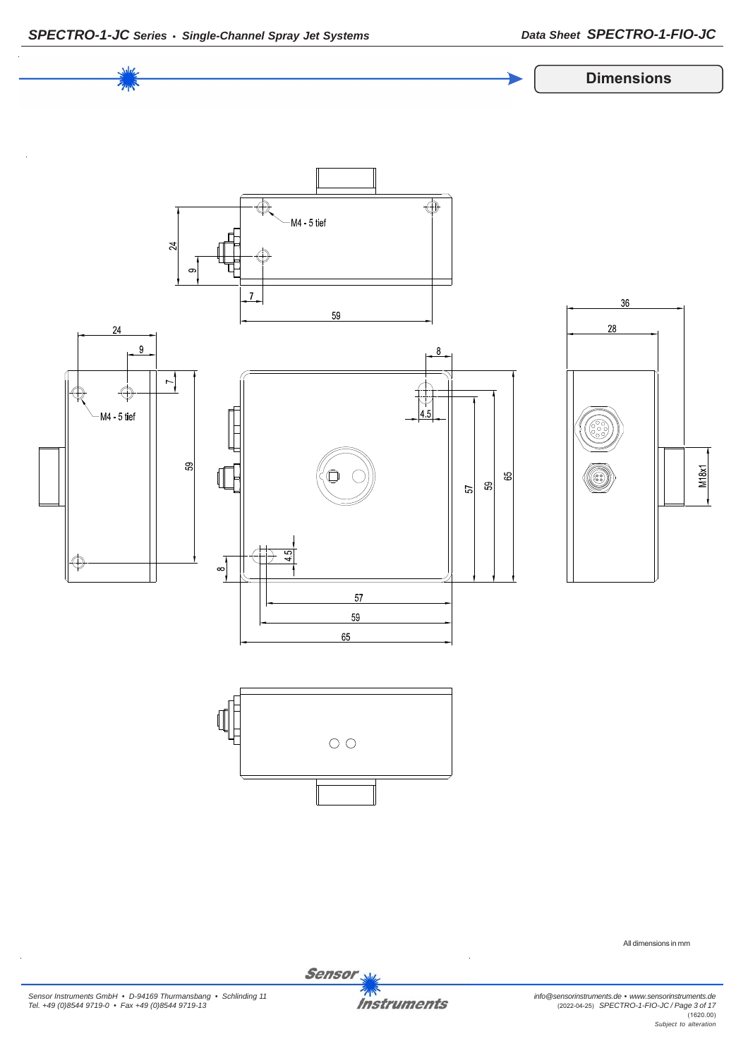

All dimensions in mm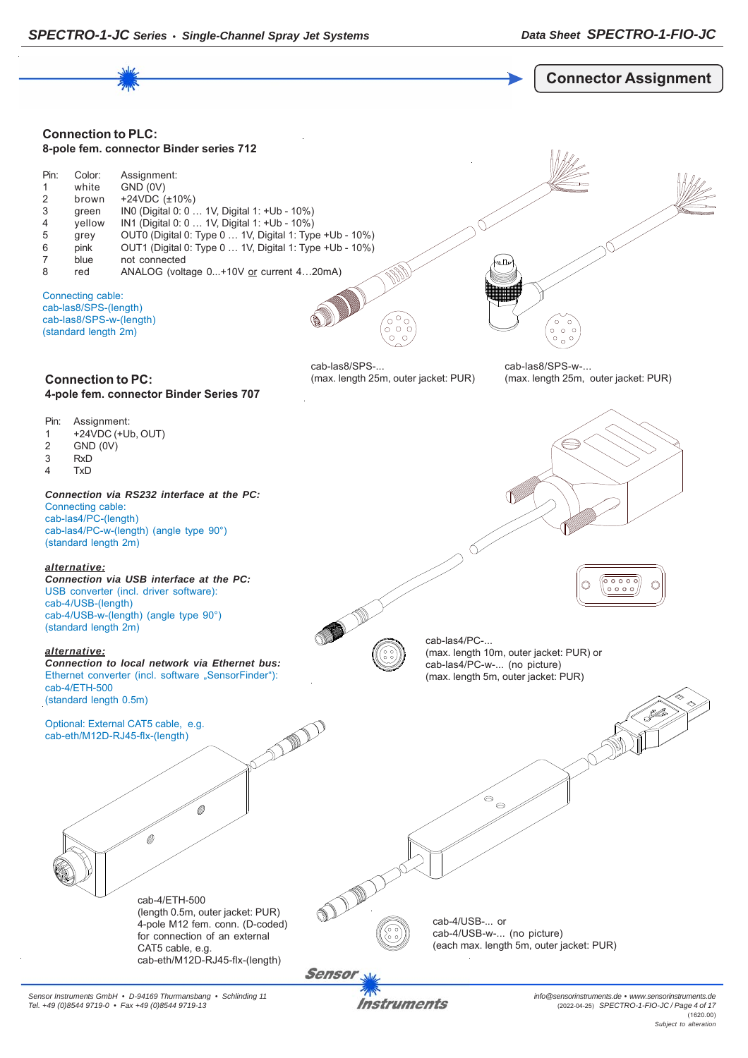



*Sensor Instruments GmbH • D-94169 Thurmansbang • Schlinding 11 Tel. +49 (0)8544 9719-0 • Fax +49 (0)8544 9719-13*

Instruments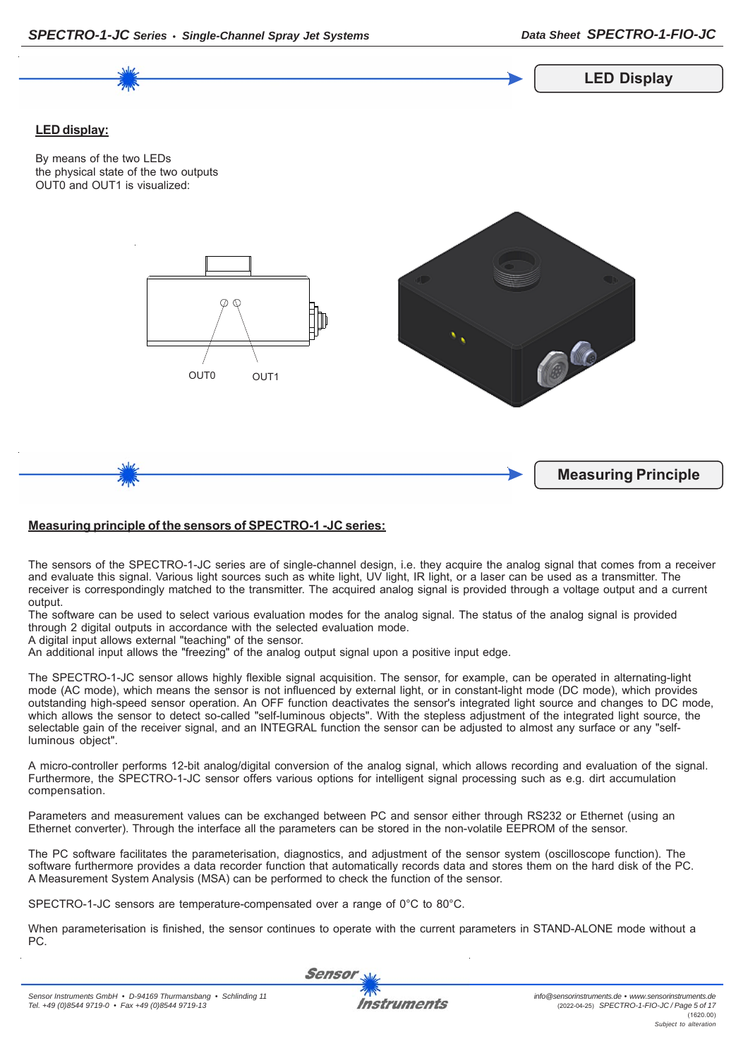

*SPECTRO-1-JC Series • Single-Channel Spray Jet Systems Data Sheet SPECTRO-1-FIO-JC*

#### **Measuring principle of the sensors of SPECTRO-1 -JC series:**

The sensors of the SPECTRO-1-JC series are of single-channel design, i.e. they acquire the analog signal that comes from a receiver and evaluate this signal. Various light sources such as white light, UV light, IR light, or a laser can be used as a transmitter. The receiver is correspondingly matched to the transmitter. The acquired analog signal is provided through a voltage output and a current output.

The software can be used to select various evaluation modes for the analog signal. The status of the analog signal is provided through 2 digital outputs in accordance with the selected evaluation mode.

A digital input allows external "teaching" of the sensor.

An additional input allows the "freezing" of the analog output signal upon a positive input edge.

The SPECTRO-1-JC sensor allows highly flexible signal acquisition. The sensor, for example, can be operated in alternating-light mode (AC mode), which means the sensor is not influenced by external light, or in constant-light mode (DC mode), which provides outstanding high-speed sensor operation. An OFF function deactivates the sensor's integrated light source and changes to DC mode, which allows the sensor to detect so-called "self-luminous objects". With the stepless adjustment of the integrated light source, the selectable gain of the receiver signal, and an INTEGRAL function the sensor can be adjusted to almost any surface or any "selfluminous object".

A micro-controller performs 12-bit analog/digital conversion of the analog signal, which allows recording and evaluation of the signal. Furthermore, the SPECTRO-1-JC sensor offers various options for intelligent signal processing such as e.g. dirt accumulation compensation.

Parameters and measurement values can be exchanged between PC and sensor either through RS232 or Ethernet (using an Ethernet converter). Through the interface all the parameters can be stored in the non-volatile EEPROM of the sensor.

The PC software facilitates the parameterisation, diagnostics, and adjustment of the sensor system (oscilloscope function). The software furthermore provides a data recorder function that automatically records data and stores them on the hard disk of the PC. A Measurement System Analysis (MSA) can be performed to check the function of the sensor.

SPECTRO-1-JC sensors are temperature-compensated over a range of 0°C to 80°C.

When parameterisation is finished, the sensor continues to operate with the current parameters in STAND-ALONE mode without a PC.

Sensor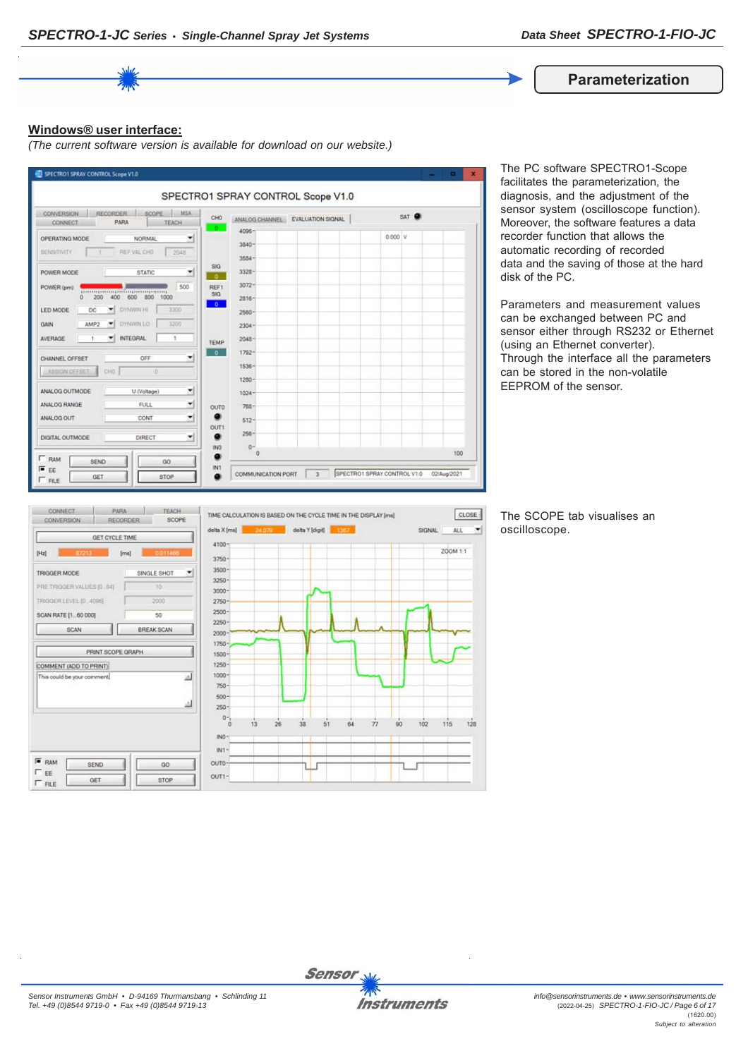#### **Parameterization**

#### **Windows® user interface:**

*(The current software version is available for download on our website.)*



The PC software SPECTRO1-Scope facilitates the parameterization, the diagnosis, and the adjustment of the sensor system (oscilloscope function). Moreover, the software features a data recorder function that allows the automatic recording of recorded data and the saving of those at the hard disk of the PC.

Parameters and measurement values can be exchanged between PC and sensor either through RS232 or Ethernet (using an Ethernet converter). Through the interface all the parameters can be stored in the non-volatile EEPROM of the sensor.



The SCOPE tab visualises an oscilloscope.

 $\vert \mathbf{v} \vert$ 

 $128$ 

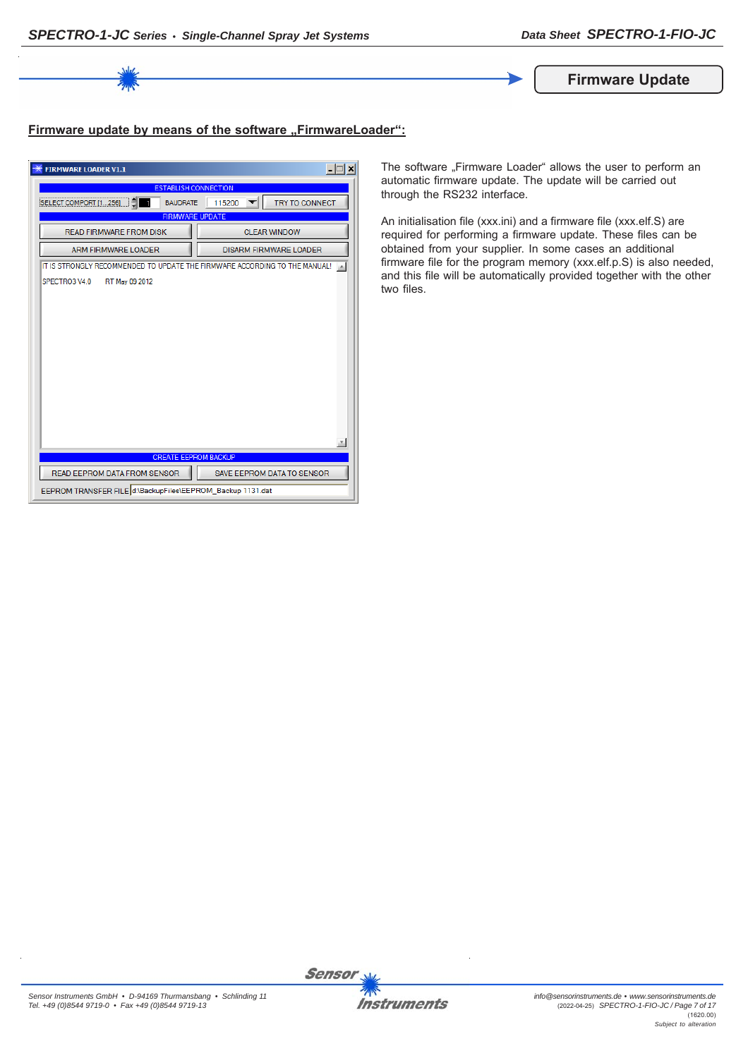

### **Firmware update by means of the software ..FirmwareLoader":**

| <b>FIRMWARE LOADER V1.1</b>                                                | $ \Box$ $\times$              |  |  |
|----------------------------------------------------------------------------|-------------------------------|--|--|
| <b>ESTABLISH CONNECTION</b>                                                |                               |  |  |
| SELECT COMPORT [1256]<br><b>BAUDRATE</b>                                   | TRY TO CONNECT<br>115200      |  |  |
|                                                                            | <b>FIRMWARE UPDATE</b>        |  |  |
| <b>READ FIRMWARE FROM DISK</b>                                             | <b>CLEAR WINDOW</b>           |  |  |
| ARM FIRMWARE LOADER                                                        | <b>DISARM FIRMWARE LOADER</b> |  |  |
| IT IS STRONGLY RECOMMENDED TO UPDATE THE FIRMWARE ACCORDING TO THE MANUAL! |                               |  |  |
| SPECTRO3 V4.0<br>RT May 09 2012                                            |                               |  |  |
|                                                                            |                               |  |  |
|                                                                            |                               |  |  |
|                                                                            |                               |  |  |
|                                                                            |                               |  |  |
|                                                                            |                               |  |  |
|                                                                            |                               |  |  |
|                                                                            |                               |  |  |
|                                                                            |                               |  |  |
|                                                                            |                               |  |  |
|                                                                            |                               |  |  |
|                                                                            |                               |  |  |
|                                                                            |                               |  |  |
| <b>CREATE EEPROM BACKUP</b>                                                |                               |  |  |
| READ EEPROM DATA FROM SENSOR                                               | SAVE EEPROM DATA TO SENSOR    |  |  |
| EEPROM TRANSFER FILE d:\BackupFiles\EEPROM_Backup 1131.dat                 |                               |  |  |

The software "Firmware Loader" allows the user to perform an automatic firmware update. The update will be carried out through the RS232 interface.

An initialisation file (xxx.ini) and a firmware file (xxx.elf.S) are required for performing a firmware update. These files can be obtained from your supplier. In some cases an additional firmware file for the program memory (xxx.elf.p.S) is also needed, and this file will be automatically provided together with the other two files.

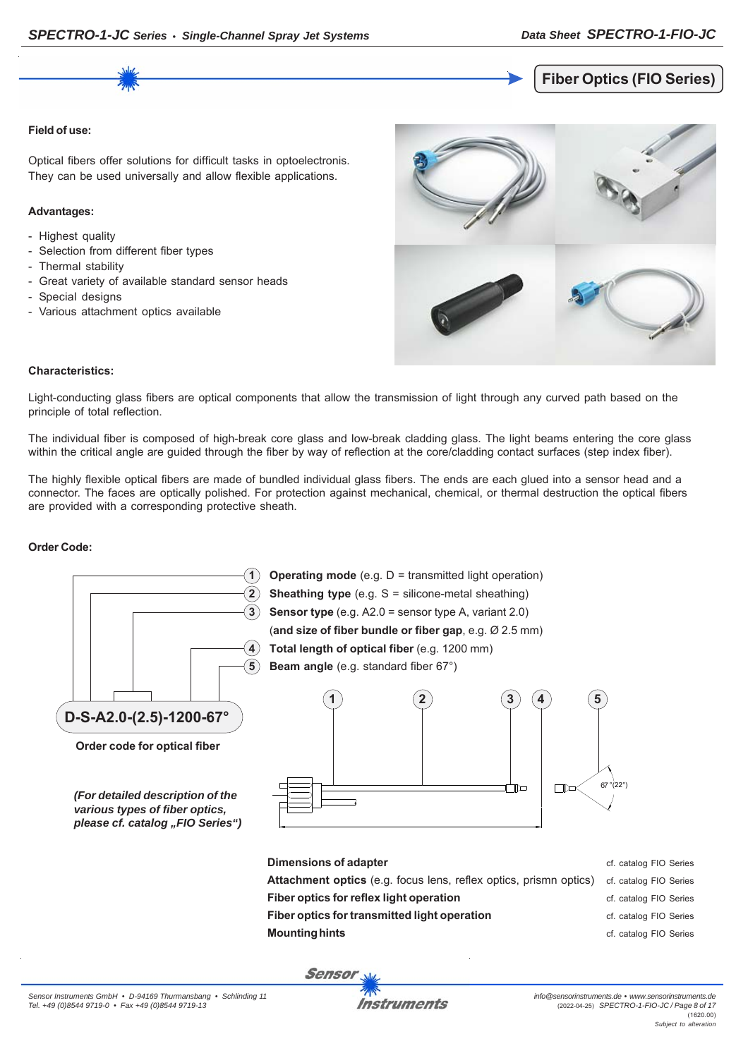**Fiber Optics (FIO Series)**

#### **Field of use:**

Optical fibers offer solutions for difficult tasks in optoelectronis. They can be used universally and allow flexible applications.

#### **Advantages:**

- Highest quality
- Selection from different fiber types
- Thermal stability
- Great variety of available standard sensor heads
- Special designs
- Various attachment optics available



#### **Characteristics:**

Light-conducting glass fibers are optical components that allow the transmission of light through any curved path based on the principle of total reflection.

The individual fiber is composed of high-break core glass and low-break cladding glass. The light beams entering the core glass within the critical angle are guided through the fiber by way of reflection at the core/cladding contact surfaces (step index fiber).

The highly flexible optical fibers are made of bundled individual glass fibers. The ends are each glued into a sensor head and a connector. The faces are optically polished. For protection against mechanical, chemical, or thermal destruction the optical fibers are provided with a corresponding protective sheath.

#### **Order Code:**

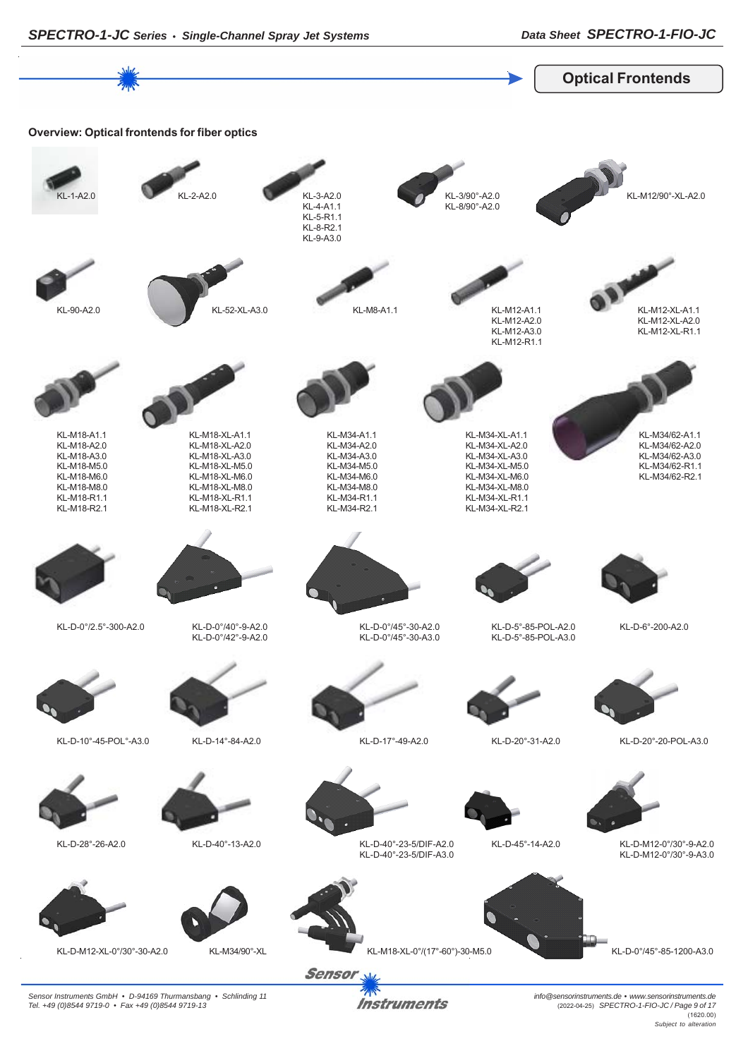![](_page_8_Figure_0.jpeg)

**Instruments** 

*Sensor Instruments GmbH • D-94169 Thurmansbang • Schlinding 11 Tel. +49 (0)8544 9719-0 • Fax +49 (0)8544 9719-13*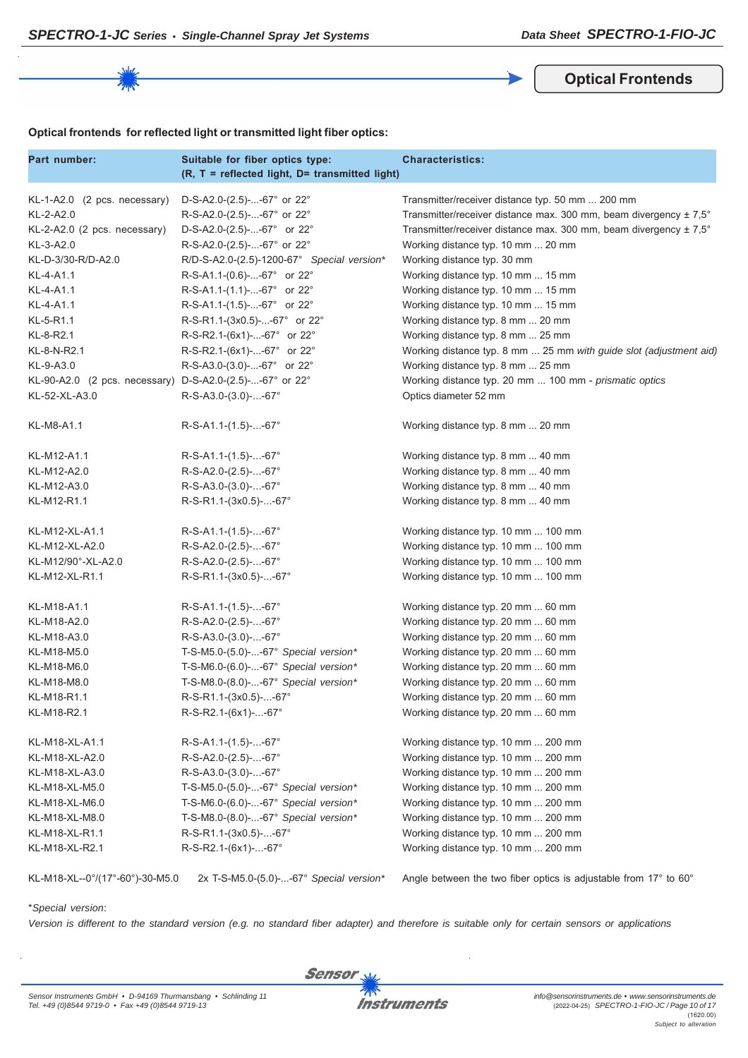**Optical Frontends**

#### **Optical frontends for reflected light or transmitted light fiber optics:**

| Part number:                                             | Suitable for fiber optics type:<br>(R, T = reflected light, D= transmitted light) | <b>Characteristics:</b>                                                      |  |
|----------------------------------------------------------|-----------------------------------------------------------------------------------|------------------------------------------------------------------------------|--|
| KL-1-A2.0 (2 pcs. necessary)                             | D-S-A2.0-(2.5)--67° or 22°                                                        | Transmitter/receiver distance typ. 50 mm  200 mm                             |  |
| KL-2-A2.0                                                | R-S-A2.0-(2.5)--67° or 22°                                                        | Transmitter/receiver distance max. 300 mm, beam divergency $\pm 7.5^{\circ}$ |  |
| KL-2-A2.0 (2 pcs. necessary)                             | D-S-A2.0-(2.5)--67° or 22°                                                        | Transmitter/receiver distance max. 300 mm, beam divergency ± 7,5°            |  |
| KL-3-A2.0                                                | R-S-A2.0-(2.5)--67° or 22°                                                        | Working distance typ. 10 mm  20 mm                                           |  |
| KL-D-3/30-R/D-A2.0                                       | R/D-S-A2.0-(2.5)-1200-67° Special version*                                        | Working distance typ. 30 mm                                                  |  |
| KL-4-A1.1                                                | R-S-A1.1-(0.6)--67° or 22°                                                        | Working distance typ. 10 mm  15 mm                                           |  |
| KL-4-A1.1                                                | R-S-A1.1-(1.1)--67° or 22°                                                        | Working distance typ. 10 mm  15 mm                                           |  |
| KL-4-A1.1                                                | $R-S-A1.1-(1.5)$ --67° or 22°                                                     | Working distance typ. 10 mm  15 mm                                           |  |
| KL-5-R1.1                                                | R-S-R1.1-(3x0.5)--67° or 22°                                                      | Working distance typ. 8 mm  20 mm                                            |  |
| KL-8-R2.1                                                | R-S-R2.1-(6x1)--67° or 22°                                                        | Working distance typ. 8 mm  25 mm                                            |  |
| KL-8-N-R2.1                                              | R-S-R2.1-(6x1)--67° or 22°                                                        | Working distance typ. 8 mm  25 mm with guide slot (adjustment aid)           |  |
| KL-9-A3.0                                                | R-S-A3.0-(3.0)--67° or 22°                                                        | Working distance typ. 8 mm  25 mm                                            |  |
| KL-90-A2.0 (2 pcs. necessary) D-S-A2.0-(2.5)--67° or 22° |                                                                                   | Working distance typ. 20 mm  100 mm - prismatic optics                       |  |
| KL-52-XL-A3.0                                            | $R-S-A3.0-(3.0)$ --67°                                                            | Optics diameter 52 mm                                                        |  |
| KL-M8-A1.1                                               | $R-S-A1.1-(1.5)--67°$                                                             | Working distance typ. 8 mm  20 mm                                            |  |
| KL-M12-A1.1                                              | $R-S-A1.1-(1.5)--67°$                                                             | Working distance typ. 8 mm  40 mm                                            |  |
| KL-M12-A2.0                                              | R-S-A2.0-(2.5)--67°                                                               | Working distance typ. 8 mm  40 mm                                            |  |
| KL-M12-A3.0                                              | R-S-A3.0-(3.0)--67°                                                               | Working distance typ. 8 mm  40 mm                                            |  |
| KL-M12-R1.1                                              | R-S-R1.1-(3x0.5)--67°                                                             | Working distance typ. 8 mm  40 mm                                            |  |
| KL-M12-XL-A1.1                                           | $R-S-A1.1-(1.5)$ --67°                                                            | Working distance typ. 10 mm  100 mm                                          |  |
| KL-M12-XL-A2.0                                           | R-S-A2.0-(2.5)--67°                                                               | Working distance typ. 10 mm  100 mm                                          |  |
| KL-M12/90°-XL-A2.0                                       | R-S-A2.0-(2.5)--67°                                                               | Working distance typ. 10 mm  100 mm                                          |  |
| KL-M12-XL-R1.1                                           | R-S-R1.1-(3x0.5)--67°                                                             | Working distance typ. 10 mm  100 mm                                          |  |
| KL-M18-A1.1                                              | $R-S-A1.1-(1.5)$ --67°                                                            | Working distance typ. 20 mm  60 mm                                           |  |
| KL-M18-A2.0                                              | R-S-A2.0-(2.5)--67°                                                               | Working distance typ. 20 mm  60 mm                                           |  |
| KL-M18-A3.0                                              | R-S-A3.0-(3.0)--67°                                                               | Working distance typ. 20 mm  60 mm                                           |  |
| KL-M18-M5.0                                              | T-S-M5.0-(5.0)--67° Special version*                                              | Working distance typ. 20 mm  60 mm                                           |  |
| KL-M18-M6.0                                              | T-S-M6.0-(6.0)--67° Special version*                                              | Working distance typ. 20 mm  60 mm                                           |  |
| KL-M18-M8.0                                              | T-S-M8.0-(8.0)--67° Special version*                                              | Working distance typ. 20 mm  60 mm                                           |  |
| KL-M18-R1.1                                              | R-S-R1.1-(3x0.5)--67°                                                             | Working distance typ. 20 mm  60 mm                                           |  |
| KL-M18-R2.1                                              | R-S-R2.1-(6x1)--67°                                                               | Working distance typ. 20 mm  60 mm                                           |  |
| KL-M18-XL-A1.1                                           | $R-S-A1.1-(1.5)--67°$                                                             | Working distance typ. 10 mm  200 mm                                          |  |
| KL-M18-XL-A2.0                                           | R-S-A2.0-(2.5)--67°                                                               | Working distance typ. 10 mm  200 mm                                          |  |
| KL-M18-XL-A3.0                                           | R-S-A3.0-(3.0)--67°                                                               | Working distance typ. 10 mm  200 mm                                          |  |
| KL-M18-XL-M5.0                                           | T-S-M5.0-(5.0)--67° Special version*                                              | Working distance typ. 10 mm  200 mm                                          |  |
| KL-M18-XL-M6.0                                           | T-S-M6.0-(6.0)--67° Special version*                                              | Working distance typ. 10 mm  200 mm                                          |  |
| KL-M18-XL-M8.0                                           | T-S-M8.0-(8.0)--67° Special version*                                              | Working distance typ. 10 mm  200 mm                                          |  |
| KL-M18-XL-R1.1                                           | R-S-R1.1-(3x0.5)--67°                                                             | Working distance typ. 10 mm  200 mm                                          |  |
| KL-M18-XL-R2.1                                           | R-S-R2.1-(6x1)--67°                                                               | Working distance typ. 10 mm  200 mm                                          |  |

KL-M18-XL--0°/(17°-60°)-30-M5.0 2x T-S-M5.0-(5.0)-...-67° *Special version\** Angle between the two fiber optics is adjustable from 17° to 60°

#### \**Special version*:

*Version is different to the standard version (e.g. no standard fiber adapter) and therefore is suitable only for certain sensors or applications*

**Sensor**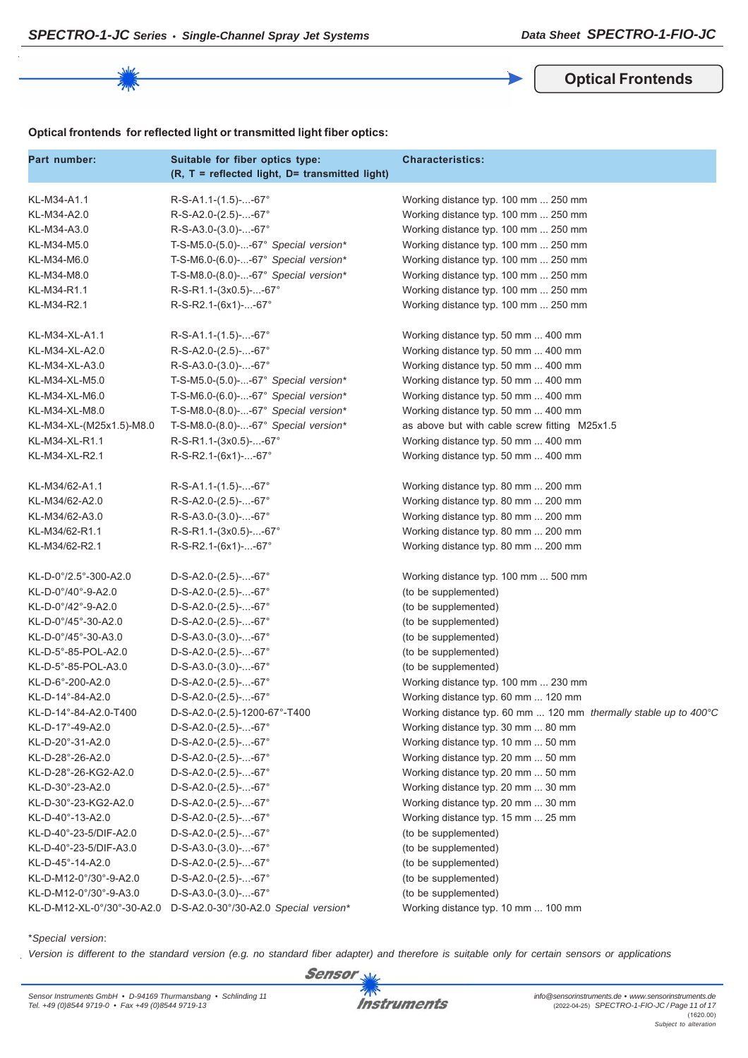**Optical Frontends**

#### **Optical frontends for reflected light or transmitted light fiber optics:**

| Part number:               | Suitable for fiber optics type:<br>(R, T = reflected light, D= transmitted light) | <b>Characteristics:</b>                                          |  |
|----------------------------|-----------------------------------------------------------------------------------|------------------------------------------------------------------|--|
| KL-M34-A1.1                | $R-S-A1.1-(1.5)--67°$                                                             | Working distance typ. 100 mm  250 mm                             |  |
| KL-M34-A2.0                | R-S-A2.0-(2.5)--67°                                                               | Working distance typ. 100 mm  250 mm                             |  |
| KL-M34-A3.0                | R-S-A3.0-(3.0)--67°                                                               | Working distance typ. 100 mm  250 mm                             |  |
| KL-M34-M5.0                | T-S-M5.0-(5.0)--67° Special version*                                              | Working distance typ. 100 mm  250 mm                             |  |
| KL-M34-M6.0                | T-S-M6.0-(6.0)--67° Special version*                                              | Working distance typ. 100 mm  250 mm                             |  |
| KL-M34-M8.0<br>KL-M34-R1.1 | T-S-M8.0-(8.0)--67° Special version*                                              | Working distance typ. 100 mm  250 mm                             |  |
| KL-M34-R2.1                | R-S-R1.1-(3x0.5)--67°                                                             | Working distance typ. 100 mm  250 mm                             |  |
|                            | R-S-R2.1-(6x1)--67°                                                               | Working distance typ. 100 mm  250 mm                             |  |
| KL-M34-XL-A1.1             | $R-S-A1.1-(1.5)$ --67°                                                            | Working distance typ. 50 mm  400 mm                              |  |
| KL-M34-XL-A2.0             | R-S-A2.0-(2.5)--67°                                                               | Working distance typ. 50 mm  400 mm                              |  |
| KL-M34-XL-A3.0             | $R-S-A3.0-(3.0)$ --67°                                                            | Working distance typ. 50 mm  400 mm                              |  |
| KL-M34-XL-M5.0             | T-S-M5.0- $(5.0)$ --67° Special version*                                          | Working distance typ. 50 mm  400 mm                              |  |
| KL-M34-XL-M6.0             | T-S-M6.0-(6.0)--67° Special version*                                              | Working distance typ. 50 mm  400 mm                              |  |
| KL-M34-XL-M8.0             | T-S-M8.0-(8.0)--67° Special version*                                              | Working distance typ. 50 mm  400 mm                              |  |
| KL-M34-XL-(M25x1.5)-M8.0   | T-S-M8.0-(8.0)--67° Special version*                                              | as above but with cable screw fitting M25x1.5                    |  |
| KL-M34-XL-R1.1             | R-S-R1.1-(3x0.5)--67°                                                             | Working distance typ. 50 mm  400 mm                              |  |
| KL-M34-XL-R2.1             | R-S-R2.1-(6x1)--67°                                                               | Working distance typ. 50 mm  400 mm                              |  |
| KL-M34/62-A1.1             | $R-S-A1.1-(1.5)$ --67°                                                            | Working distance typ. 80 mm  200 mm                              |  |
| KL-M34/62-A2.0             | R-S-A2.0-(2.5)--67°                                                               | Working distance typ. 80 mm  200 mm                              |  |
| KL-M34/62-A3.0             | $R-S-A3.0-(3.0)$ --67°                                                            | Working distance typ. 80 mm  200 mm                              |  |
| KL-M34/62-R1.1             | R-S-R1.1-(3x0.5)--67°                                                             | Working distance typ. 80 mm  200 mm                              |  |
| KL-M34/62-R2.1             | $R-S-R2.1-(6x1)-67°$                                                              | Working distance typ. 80 mm  200 mm                              |  |
| KL-D-0°/2.5°-300-A2.0      | $D-S-A2.0-(2.5)$ --67°                                                            | Working distance typ. 100 mm  500 mm                             |  |
| KL-D-0°/40°-9-A2.0         | $D-S-A2.0-(2.5)$ --67°                                                            | (to be supplemented)                                             |  |
| KL-D-0°/42°-9-A2.0         | $D-S-A2.0-(2.5)$ --67°                                                            | (to be supplemented)                                             |  |
| KL-D-0°/45°-30-A2.0        | $D-S-A2.0-(2.5)$ --67°                                                            | (to be supplemented)                                             |  |
| KL-D-0°/45°-30-A3.0        | $D-S-A3.0-(3.0)$ --67°                                                            | (to be supplemented)                                             |  |
| KL-D-5°-85-POL-A2.0        | $D-S-A2.0-(2.5)$ --67°                                                            | (to be supplemented)                                             |  |
| KL-D-5°-85-POL-A3.0        | $D-S-A3.0-(3.0)$ --67°                                                            | (to be supplemented)                                             |  |
| KL-D-6°-200-A2.0           | $D-S-A2.0-(2.5)$ --67°                                                            | Working distance typ. 100 mm  230 mm                             |  |
| KL-D-14°-84-A2.0           | $D-S-A2.0-(2.5)$ --67°                                                            | Working distance typ. 60 mm  120 mm                              |  |
| KL-D-14°-84-A2.0-T400      | D-S-A2.0-(2.5)-1200-67°-T400                                                      | Working distance typ. 60 mm  120 mm thermally stable up to 400°C |  |
| KL-D-17°-49-A2.0           | $D-S-A2.0-(2.5)$ --67°                                                            | Working distance typ. 30 mm  80 mm                               |  |
| KL-D-20°-31-A2.0           | $D-S-A2.0-(2.5)$ --67°                                                            | Working distance typ. 10 mm  50 mm                               |  |
| KL-D-28°-26-A2.0           | D-S-A2.0-(2.5)--67°                                                               | Working distance typ. 20 mm  50 mm                               |  |
| KL-D-28°-26-KG2-A2.0       | D-S-A2.0-(2.5)--67°                                                               | Working distance typ. 20 mm  50 mm                               |  |
| KL-D-30°-23-A2.0           | $D-S-A2.0-(2.5)$ --67°                                                            | Working distance typ. 20 mm  30 mm                               |  |
| KL-D-30°-23-KG2-A2.0       | $D-S-A2.0-(2.5)$ --67°                                                            | Working distance typ. 20 mm  30 mm                               |  |
| KL-D-40°-13-A2.0           | $D-S-A2.0-(2.5)$ --67°                                                            | Working distance typ. 15 mm  25 mm                               |  |
| KL-D-40°-23-5/DIF-A2.0     | $D-S-A2.0-(2.5)$ --67°                                                            | (to be supplemented)                                             |  |
| KL-D-40°-23-5/DIF-A3.0     | $D-S-A3.0-(3.0)$ --67°                                                            | (to be supplemented)                                             |  |
| KL-D-45°-14-A2.0           | $D-S-A2.0-(2.5)$ --67°                                                            | (to be supplemented)                                             |  |
| KL-D-M12-0°/30°-9-A2.0     | $D-S-A2.0-(2.5)$ --67°                                                            | (to be supplemented)                                             |  |
| KL-D-M12-0°/30°-9-A3.0     | $D-S-A3.0-(3.0)$ --67°                                                            | (to be supplemented)                                             |  |
| KL-D-M12-XL-0°/30°-30-A2.0 | D-S-A2.0-30°/30-A2.0 Special version*                                             | Working distance typ. 10 mm  100 mm                              |  |

\**Special version*:

*Version is different to the standard version (e.g. no standard fiber adapter) and therefore is suitable only for certain sensors or applications*

![](_page_10_Picture_8.jpeg)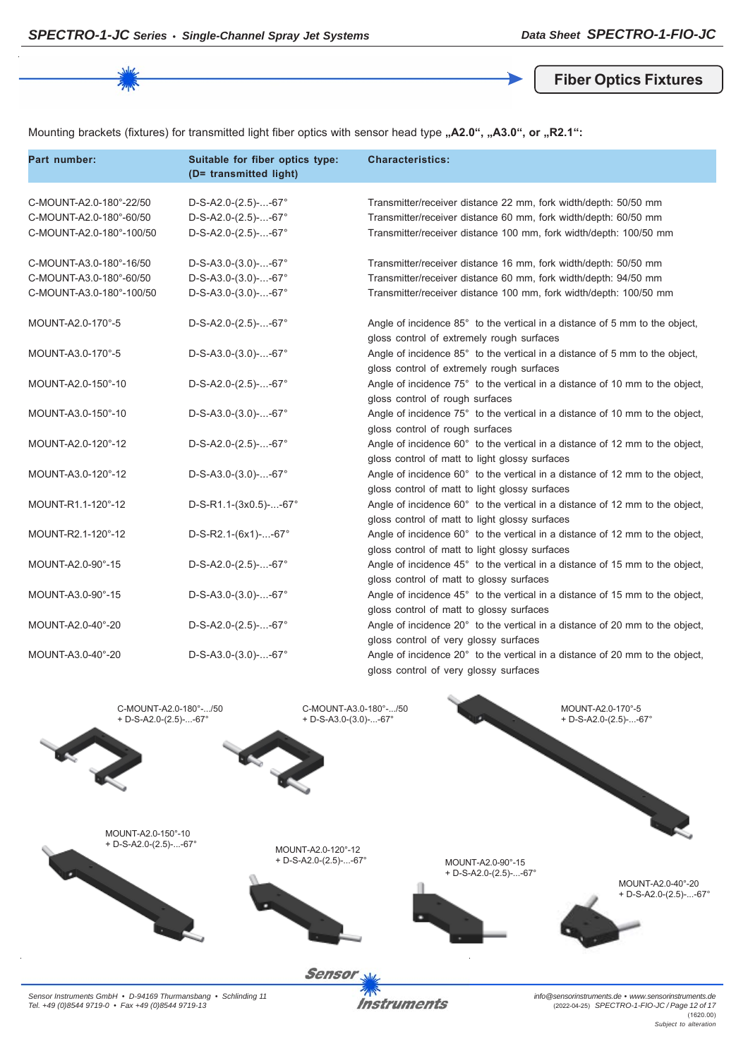**Fiber Optics Fixtures**

Mounting brackets (fixtures) for transmitted light fiber optics with sensor head type "A2.0", "A3.0", or "R2.1":

| Part number:                                                                   | Suitable for fiber optics type:<br>(D= transmitted light)                  | <b>Characteristics:</b>                                                                                                                                                                                 |
|--------------------------------------------------------------------------------|----------------------------------------------------------------------------|---------------------------------------------------------------------------------------------------------------------------------------------------------------------------------------------------------|
| C-MOUNT-A2.0-180°-22/50<br>C-MOUNT-A2.0-180°-60/50<br>C-MOUNT-A2.0-180°-100/50 | $D-S-A2.0-(2.5)$ --67°<br>$D-S-A2.0-(2.5)$ --67°<br>$D-S-A2.0-(2.5)$ --67° | Transmitter/receiver distance 22 mm, fork width/depth: 50/50 mm<br>Transmitter/receiver distance 60 mm, fork width/depth: 60/50 mm<br>Transmitter/receiver distance 100 mm, fork width/depth: 100/50 mm |
| C-MOUNT-A3.0-180°-16/50<br>C-MOUNT-A3.0-180°-60/50<br>C-MOUNT-A3.0-180°-100/50 | $D-S-A3.0-(3.0)$ --67°<br>$D-S-A3.0-(3.0)$ --67°<br>$D-S-A3.0-(3.0)$ --67° | Transmitter/receiver distance 16 mm, fork width/depth: 50/50 mm<br>Transmitter/receiver distance 60 mm, fork width/depth: 94/50 mm<br>Transmitter/receiver distance 100 mm, fork width/depth: 100/50 mm |
| MOUNT-A2.0-170°-5                                                              | $D-S-A2.0-(2.5)$ --67°                                                     | Angle of incidence 85° to the vertical in a distance of 5 mm to the object,<br>gloss control of extremely rough surfaces                                                                                |
| MOUNT-A3.0-170°-5                                                              | $D-S-A3.0-(3.0)$ --67°                                                     | Angle of incidence 85° to the vertical in a distance of 5 mm to the object,<br>gloss control of extremely rough surfaces                                                                                |
| MOUNT-A2.0-150°-10                                                             | $D-S-A2.0-(2.5)$ --67°                                                     | Angle of incidence 75° to the vertical in a distance of 10 mm to the object,<br>gloss control of rough surfaces                                                                                         |
| MOUNT-A3.0-150°-10                                                             | $D-S-A3.0-(3.0)$ --67°                                                     | Angle of incidence 75° to the vertical in a distance of 10 mm to the object,<br>gloss control of rough surfaces                                                                                         |
| MOUNT-A2.0-120°-12                                                             | $D-S-A2.0-(2.5)$ --67°                                                     | Angle of incidence 60° to the vertical in a distance of 12 mm to the object,<br>gloss control of matt to light glossy surfaces                                                                          |
| MOUNT-A3.0-120°-12                                                             | $D-S-A3.0-(3.0)$ --67°                                                     | Angle of incidence 60° to the vertical in a distance of 12 mm to the object,<br>gloss control of matt to light glossy surfaces                                                                          |
| MOUNT-R1.1-120°-12                                                             | $D-S-R1.1-(3x0.5)$ --67°                                                   | Angle of incidence 60° to the vertical in a distance of 12 mm to the object,<br>gloss control of matt to light glossy surfaces                                                                          |
| MOUNT-R2.1-120°-12                                                             | $D-S-R2.1-(6x1)$ --67°                                                     | Angle of incidence 60° to the vertical in a distance of 12 mm to the object,<br>gloss control of matt to light glossy surfaces                                                                          |
| MOUNT-A2.0-90°-15                                                              | $D-S-A2.0-(2.5)--67^{\circ}$                                               | Angle of incidence 45° to the vertical in a distance of 15 mm to the object,<br>gloss control of matt to glossy surfaces                                                                                |
| MOUNT-A3.0-90°-15                                                              | $D-S-A3.0-(3.0)$ --67°                                                     | Angle of incidence 45° to the vertical in a distance of 15 mm to the object,<br>gloss control of matt to glossy surfaces                                                                                |
| MOUNT-A2.0-40°-20                                                              | $D-S-A2.0-(2.5)$ --67°                                                     | Angle of incidence 20° to the vertical in a distance of 20 mm to the object,<br>gloss control of very glossy surfaces                                                                                   |
| MOUNT-A3.0-40°-20                                                              | $D-S-A3.0-(3.0)$ --67°                                                     | Angle of incidence 20° to the vertical in a distance of 20 mm to the object,<br>gloss control of very glossy surfaces                                                                                   |

![](_page_11_Picture_5.jpeg)

*Sensor Instruments GmbH • D-94169 Thurmansbang • Schlinding 11 Tel. +49 (0)8544 9719-0 • Fax +49 (0)8544 9719-13*

**Instruments** 

*info@sensorinstruments.de • www.sensorinstruments.de* (2022-04-25) *SPECTRO-1-FIO-JC / Page 12 of 17* (1620.00) *Subject to alteration*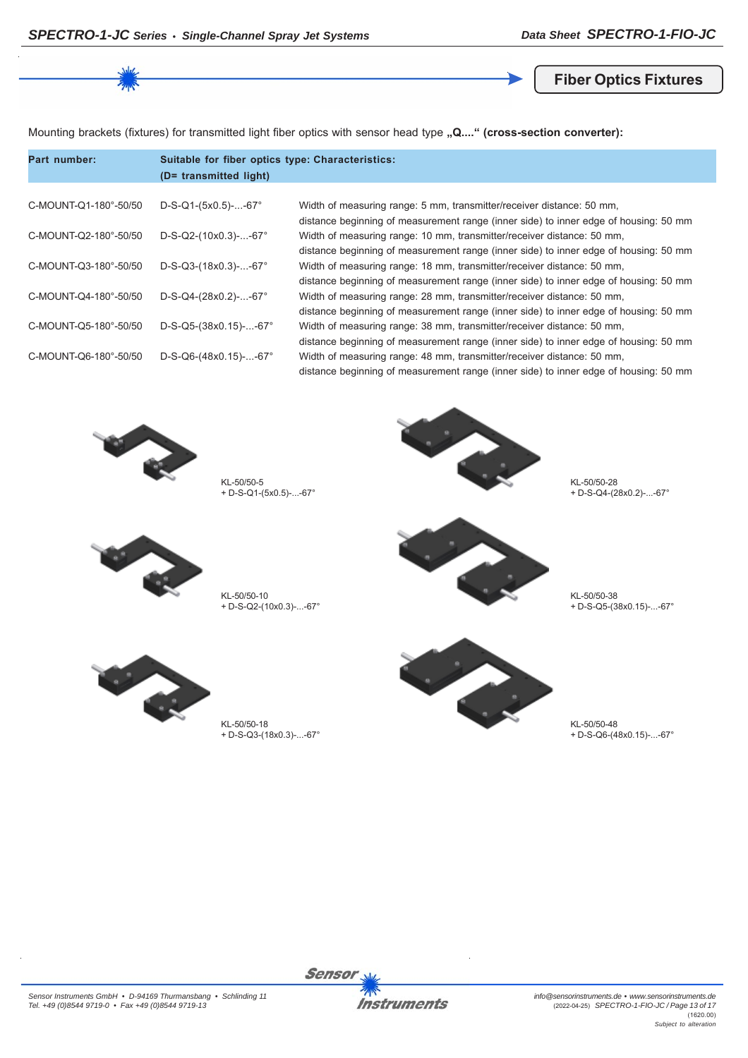**Fiber Optics Fixtures**

Mounting brackets (fixtures) for transmitted light fiber optics with sensor head type "Q...." (cross-section converter):

| Part number:          | Suitable for fiber optics type: Characteristics:<br>(D= transmitted light) |                                                                                      |
|-----------------------|----------------------------------------------------------------------------|--------------------------------------------------------------------------------------|
|                       |                                                                            |                                                                                      |
| C-MOUNT-Q1-180°-50/50 | $D-S-Q1-(5x0.5)$ --67°                                                     | Width of measuring range: 5 mm, transmitter/receiver distance: 50 mm,                |
|                       |                                                                            | distance beginning of measurement range (inner side) to inner edge of housing: 50 mm |
| C-MOUNT-Q2-180°-50/50 | $D-S-Q2-(10x0.3)$ --67°                                                    | Width of measuring range: 10 mm, transmitter/receiver distance: 50 mm,               |
|                       |                                                                            | distance beginning of measurement range (inner side) to inner edge of housing: 50 mm |
| C-MOUNT-Q3-180°-50/50 | $D-S-Q3-(18x0.3)$ --67°                                                    | Width of measuring range: 18 mm, transmitter/receiver distance: 50 mm,               |
|                       |                                                                            | distance beginning of measurement range (inner side) to inner edge of housing: 50 mm |
| C-MOUNT-Q4-180°-50/50 | $D-S-Q4-(28x0.2)$ --67°                                                    | Width of measuring range: 28 mm, transmitter/receiver distance: 50 mm,               |
|                       |                                                                            | distance beginning of measurement range (inner side) to inner edge of housing: 50 mm |
| C-MOUNT-Q5-180°-50/50 | D-S-Q5-(38x0.15)--67°                                                      | Width of measuring range: 38 mm, transmitter/receiver distance: 50 mm,               |
|                       |                                                                            | distance beginning of measurement range (inner side) to inner edge of housing: 50 mm |
| C-MOUNT-Q6-180°-50/50 | $D-S-Q6-(48x0.15)$ --67°                                                   | Width of measuring range: 48 mm, transmitter/receiver distance: 50 mm,               |
|                       |                                                                            | distance beginning of measurement range (inner side) to inner edge of housing: 50 mm |

![](_page_12_Picture_5.jpeg)

KL-50/50-5 + D-S-Q1-(5x0.5)-...-67°

![](_page_12_Picture_7.jpeg)

KL-50/50-28 + D-S-Q4-(28x0.2)-...-67°

![](_page_12_Picture_9.jpeg)

KL-50/50-10 + D-S-Q2-(10x0.3)-...-67°

![](_page_12_Picture_11.jpeg)

KL-50/50-38 + D-S-Q5-(38x0.15)-...-67°

![](_page_12_Picture_13.jpeg)

KL-50/50-18 + D-S-Q3-(18x0.3)-...-67°

![](_page_12_Picture_15.jpeg)

KL-50/50-48 + D-S-Q6-(48x0.15)-...-67°

**Instruments** 

Sensor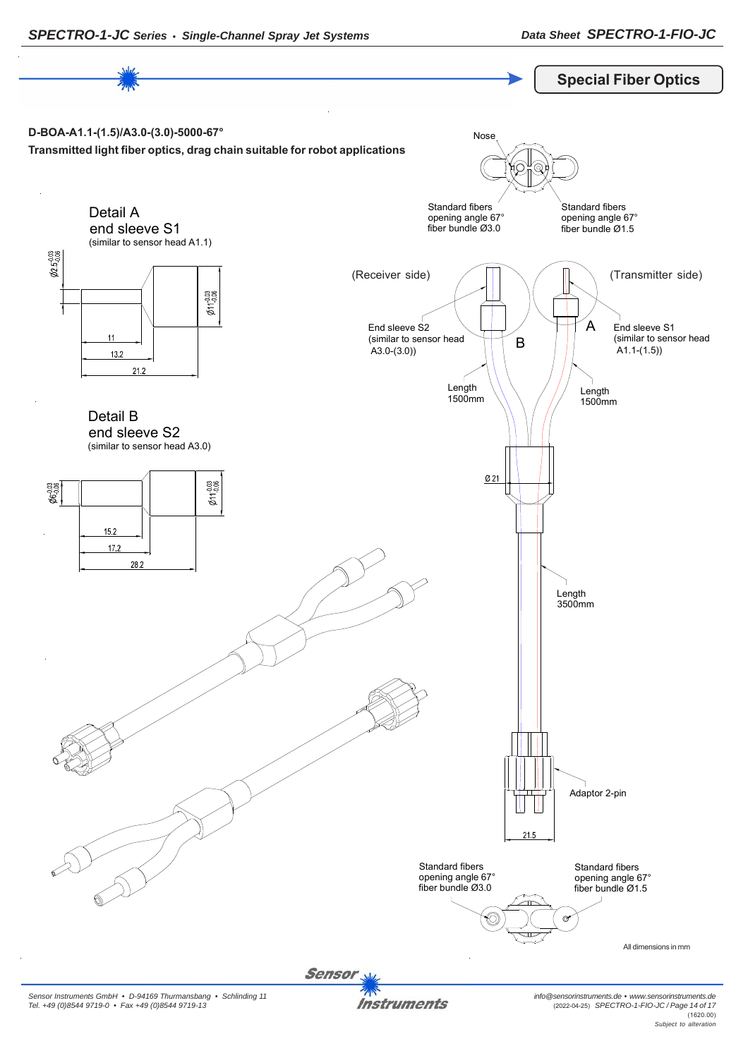![](_page_13_Figure_0.jpeg)

**Instruments** 

*SPECTRO-1-JC Series • Single-Channel Spray Jet Systems Data Sheet SPECTRO-1-FIO-JC*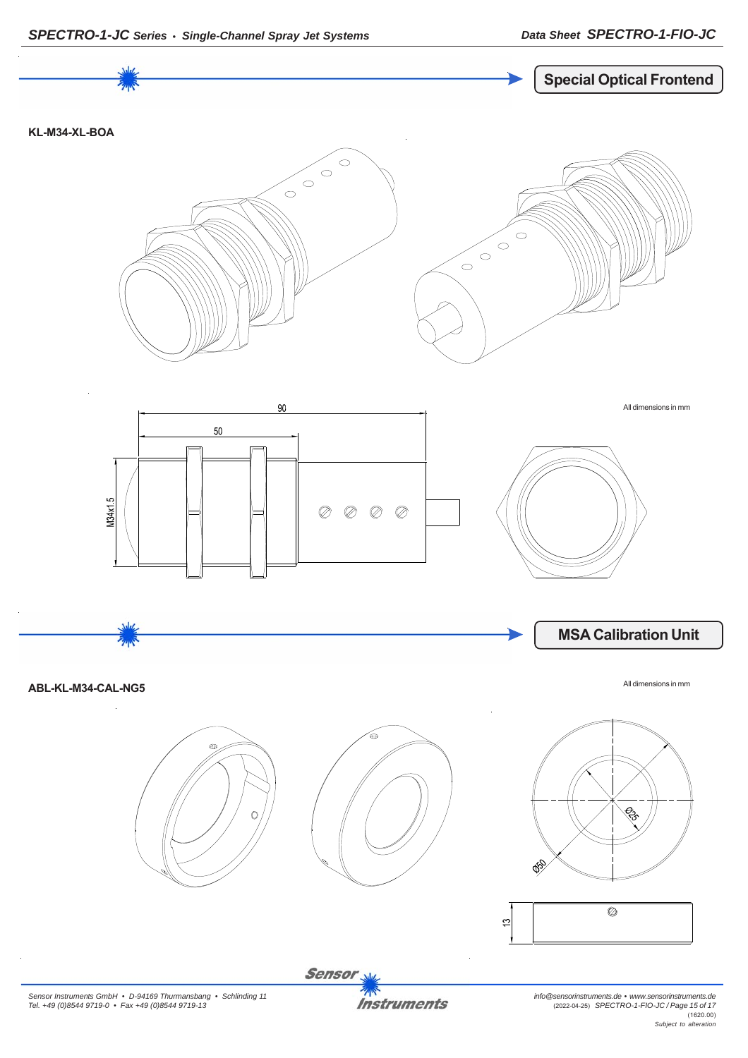![](_page_14_Picture_0.jpeg)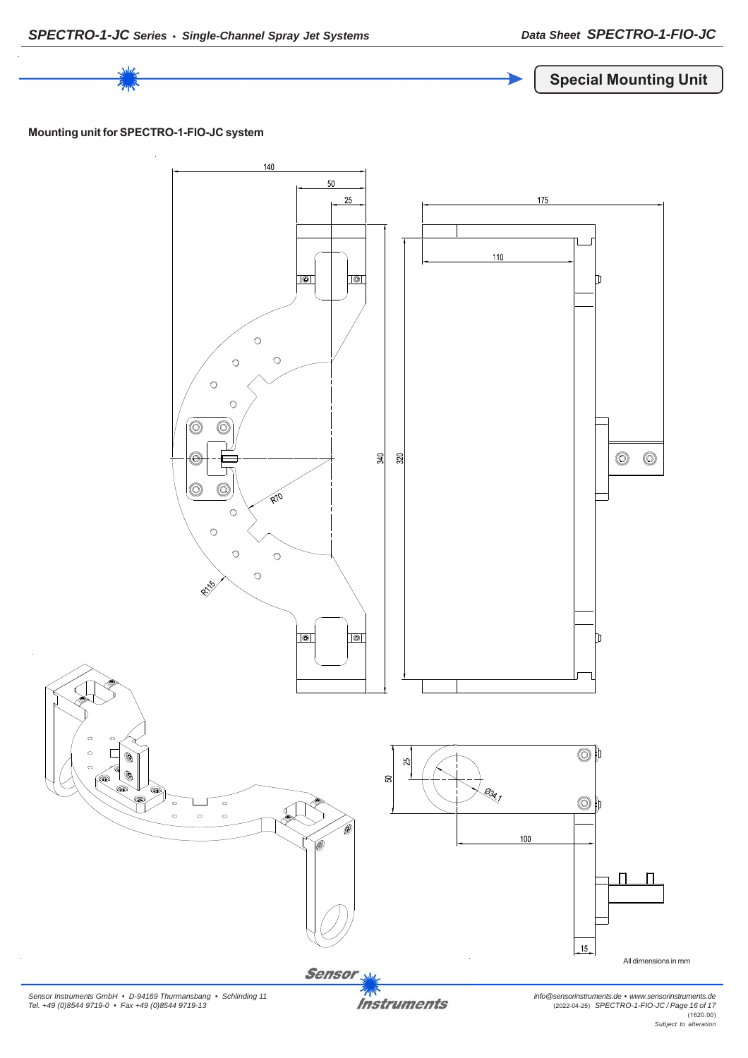![](_page_15_Picture_2.jpeg)

**Special Mounting Unit**

### **Mounting unit for SPECTRO-1-FIO-JC system**

![](_page_15_Figure_5.jpeg)

*Sensor Instruments GmbH • D-94169 Thurmansbang • Schlinding 11 Tel. +49 (0)8544 9719-0 • Fax +49 (0)8544 9719-13*

**Instruments**